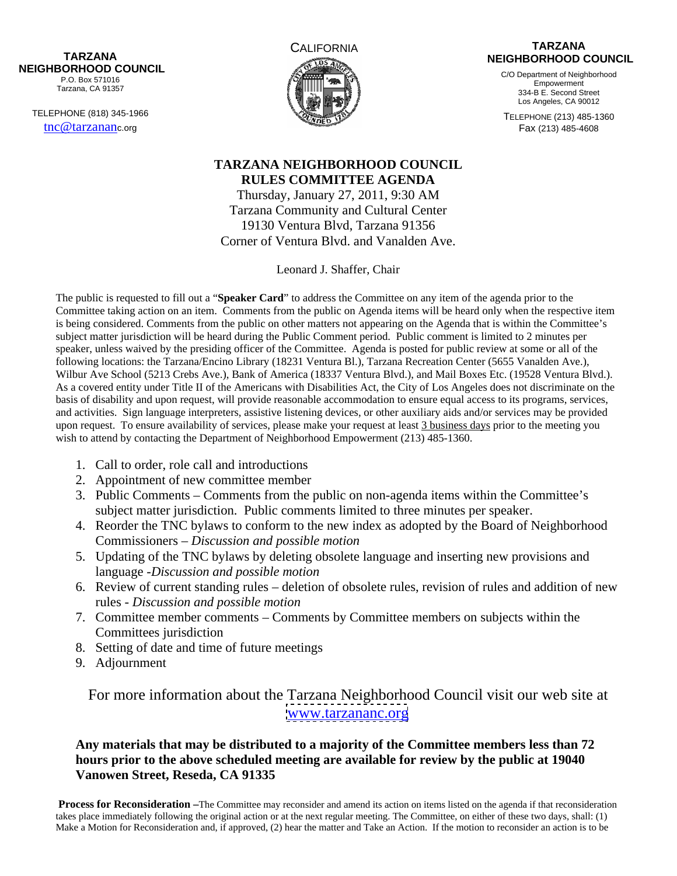**NEIGHBORHOOD COUNCIL** 

TELEPHONE (818) 345-1966



## CALIFORNIA **CALIFORNIA** TARZANA TARZANA TARZANA PEREMBENTAK SERI PEREMBENTAK SERI PEREMBENTAK SERI PEREMBENTAKAN SERI PEREMBENTAKAN SE<br>TARZANA PEREMBENTAK SERI PEREMBENTAK SERI PEREMBENTAK SERI PEREMBENTAK SERI PEREMBENTAK SERI PEREMBENTAK SERI P **TARZANA NEIGHBORHOOD COUNCIL**

P.O. Box 571016 **Expression Contract Contract Contract Contract Contract Contract Contract Contract Contract Contract Contract Contract Contract Contract Contract Contract Contract Contract Contract Contract Contract Contr** Tarzana, CA 91357 C/O Department of Neighborhood Empowerment 334-B E. Second Street Los Angeles, CA 90012

 $\frac{\text{trc@tarzananc.org}}{\text{trc@tarzananc.org}}$ TELEPHONE (213) 485-1360 Fax (213) 485-4608

## **TARZANA NEIGHBORHOOD COUNCIL RULES COMMITTEE AGENDA**

Thursday, January 27, 2011, 9:30 AM Tarzana Community and Cultural Center 19130 Ventura Blvd, Tarzana 91356 Corner of Ventura Blvd. and Vanalden Ave.

Leonard J. Shaffer, Chair

The public is requested to fill out a "**Speaker Card**" to address the Committee on any item of the agenda prior to the Committee taking action on an item. Comments from the public on Agenda items will be heard only when the respective item is being considered. Comments from the public on other matters not appearing on the Agenda that is within the Committee's subject matter jurisdiction will be heard during the Public Comment period. Public comment is limited to 2 minutes per speaker, unless waived by the presiding officer of the Committee. Agenda is posted for public review at some or all of the following locations: the Tarzana/Encino Library (18231 Ventura Bl.), Tarzana Recreation Center (5655 Vanalden Ave.), Wilbur Ave School (5213 Crebs Ave.), Bank of America (18337 Ventura Blvd.), and Mail Boxes Etc. (19528 Ventura Blvd.). As a covered entity under Title II of the Americans with Disabilities Act, the City of Los Angeles does not discriminate on the basis of disability and upon request, will provide reasonable accommodation to ensure equal access to its programs, services, and activities. Sign language interpreters, assistive listening devices, or other auxiliary aids and/or services may be provided upon request. To ensure availability of services, please make your request at least 3 business days prior to the meeting you wish to attend by contacting the Department of Neighborhood Empowerment (213) 485-1360.

- 1. Call to order, role call and introductions
- 2. Appointment of new committee member
- 3. Public Comments Comments from the public on non-agenda items within the Committee's subject matter jurisdiction. Public comments limited to three minutes per speaker.
- 4. Reorder the TNC bylaws to conform to the new index as adopted by the Board of Neighborhood Commissioners – *Discussion and possible motion*
- 5. Updating of the TNC bylaws by deleting obsolete language and inserting new provisions and language -*Discussion and possible motion*
- 6. Review of current standing rules deletion of obsolete rules, revision of rules and addition of new rules - *Discussion and possible motion*
- 7. Committee member comments Comments by Committee members on subjects within the Committees jurisdiction
- 8. Setting of date and time of future meetings
- 9. Adjournment

For more information about the Tarzana Neighborhood Council visit our web site at [www.tarzananc.org](http://www.tarzananc.org)

**Any materials that may be distributed to a majority of the Committee members less than 72 hours prior to the above scheduled meeting are available for review by the public at 19040 Vanowen Street, Reseda, CA 91335** 

**Process for Reconsideration** –The Committee may reconsider and amend its action on items listed on the agenda if that reconsideration takes place immediately following the original action or at the next regular meeting. The Committee, on either of these two days, shall: (1) Make a Motion for Reconsideration and, if approved, (2) hear the matter and Take an Action. If the motion to reconsider an action is to be